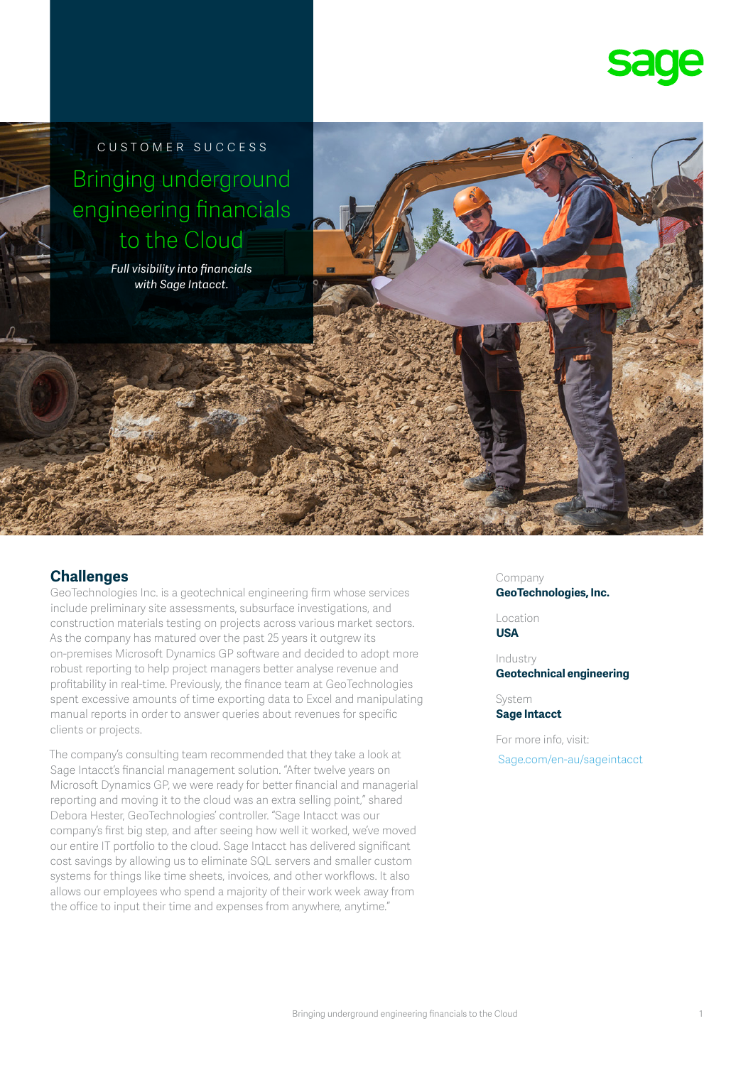

customer success Bringing underground engineering financials to the Cloud

> *Full visibility into financials with Sage Intacct.*

# **Challenges**

GeoTechnologies Inc. is a geotechnical engineering firm whose services include preliminary site assessments, subsurface investigations, and construction materials testing on projects across various market sectors. As the company has matured over the past 25 years it outgrew its on-premises Microsoft Dynamics GP software and decided to adopt more robust reporting to help project managers better analyse revenue and profitability in real-time. Previously, the finance team at GeoTechnologies spent excessive amounts of time exporting data to Excel and manipulating manual reports in order to answer queries about revenues for specific clients or projects.

The company's consulting team recommended that they take a look at Sage Intacct's financial management solution. "After twelve years on Microsoft Dynamics GP, we were ready for better financial and managerial reporting and moving it to the cloud was an extra selling point," shared Debora Hester, GeoTechnologies' controller. "Sage Intacct was our company's first big step, and after seeing how well it worked, we've moved our entire IT portfolio to the cloud. Sage Intacct has delivered significant cost savings by allowing us to eliminate SQL servers and smaller custom systems for things like time sheets, invoices, and other workflows. It also allows our employees who spend a majority of their work week away from the office to input their time and expenses from anywhere, anytime."

Company **GeoTechnologies, Inc.**

Location **USA**

Industry **Geotechnical engineering** 

System **Sage Intacct**

For more info, visit:  [Sage.com/en-au/sageintacct](http://www.sage.com/en-au/sageintacct)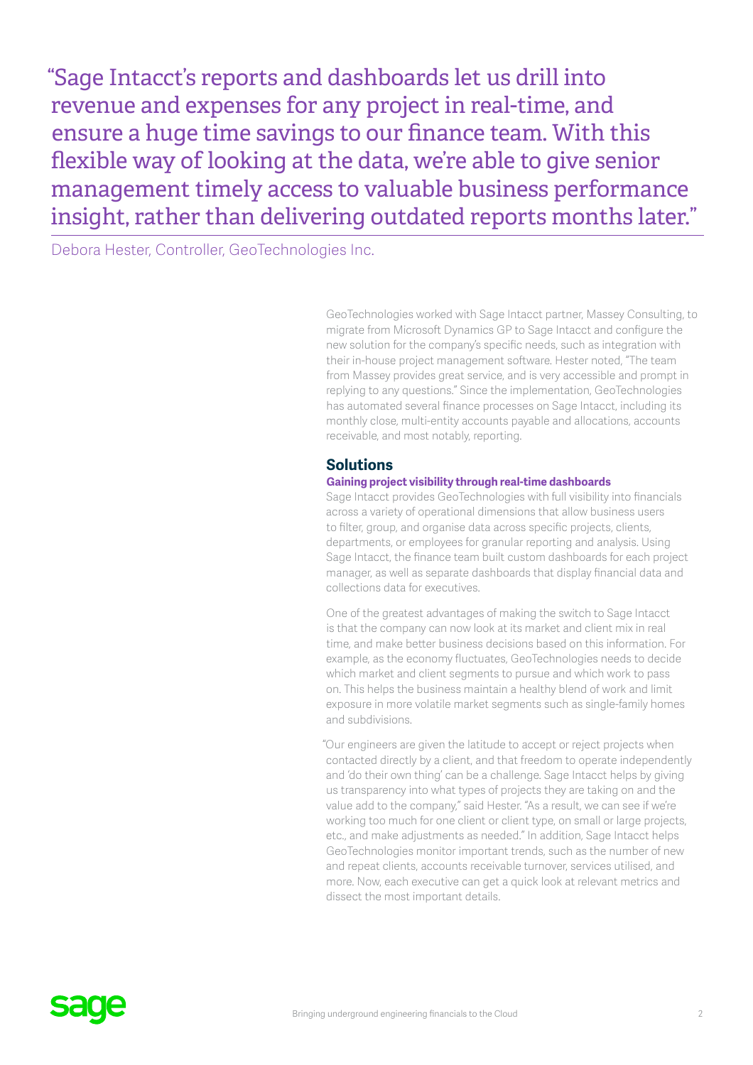"Sage Intacct's reports and dashboards let us drill into revenue and expenses for any project in real-time, and ensure a huge time savings to our finance team. With this flexible way of looking at the data, we're able to give senior management timely access to valuable business performance insight, rather than delivering outdated reports months later."

Debora Hester, Controller, GeoTechnologies Inc.

GeoTechnologies worked with Sage Intacct partner, Massey Consulting, to migrate from Microsoft Dynamics GP to Sage Intacct and configure the new solution for the company's specific needs, such as integration with their in-house project management software. Hester noted, "The team from Massey provides great service, and is very accessible and prompt in replying to any questions." Since the implementation, GeoTechnologies has automated several finance processes on Sage Intacct, including its monthly close, multi-entity accounts payable and allocations, accounts receivable, and most notably, reporting.

# **Solutions**

### **Gaining project visibility through real-time dashboards**

Sage Intacct provides GeoTechnologies with full visibility into financials across a variety of operational dimensions that allow business users to filter, group, and organise data across specific projects, clients, departments, or employees for granular reporting and analysis. Using Sage Intacct, the finance team built custom dashboards for each project manager, as well as separate dashboards that display financial data and collections data for executives.

One of the greatest advantages of making the switch to Sage Intacct is that the company can now look at its market and client mix in real time, and make better business decisions based on this information. For example, as the economy fluctuates, GeoTechnologies needs to decide which market and client segments to pursue and which work to pass on. This helps the business maintain a healthy blend of work and limit exposure in more volatile market segments such as single-family homes and subdivisions.

"Our engineers are given the latitude to accept or reject projects when contacted directly by a client, and that freedom to operate independently and 'do their own thing' can be a challenge. Sage Intacct helps by giving us transparency into what types of projects they are taking on and the value add to the company," said Hester. "As a result, we can see if we're working too much for one client or client type, on small or large projects, etc., and make adjustments as needed." In addition, Sage Intacct helps GeoTechnologies monitor important trends, such as the number of new and repeat clients, accounts receivable turnover, services utilised, and more. Now, each executive can get a quick look at relevant metrics and dissect the most important details.